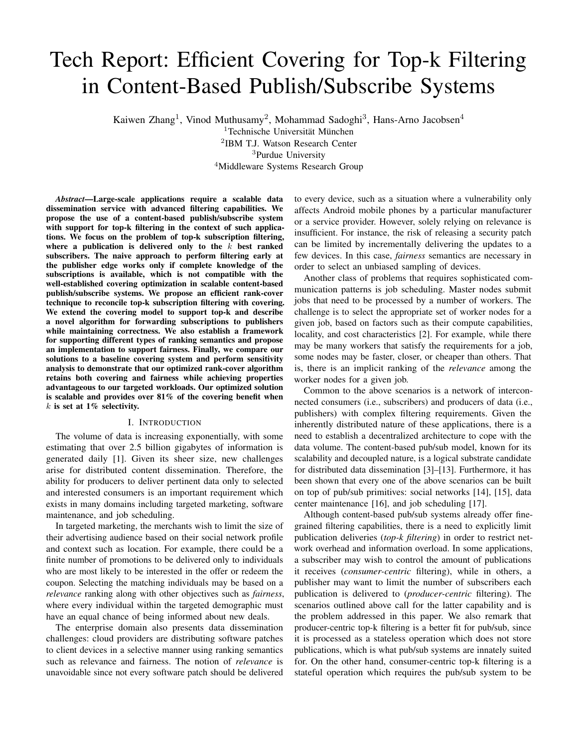# Tech Report: Efficient Covering for Top-k Filtering in Content-Based Publish/Subscribe Systems

Kaiwen Zhang<sup>1</sup>, Vinod Muthusamy<sup>2</sup>, Mohammad Sadoghi<sup>3</sup>, Hans-Arno Jacobsen<sup>4</sup>

 $1$ Technische Universität München 2 IBM T.J. Watson Research Center <sup>3</sup>Purdue University

<sup>4</sup>Middleware Systems Research Group

*Abstract*—Large-scale applications require a scalable data dissemination service with advanced filtering capabilities. We propose the use of a content-based publish/subscribe system with support for top-k filtering in the context of such applications. We focus on the problem of top-k subscription filtering, where a publication is delivered only to the  $k$  best ranked subscribers. The naive approach to perform filtering early at the publisher edge works only if complete knowledge of the subscriptions is available, which is not compatible with the well-established covering optimization in scalable content-based publish/subscribe systems. We propose an efficient rank-cover technique to reconcile top-k subscription filtering with covering. We extend the covering model to support top-k and describe a novel algorithm for forwarding subscriptions to publishers while maintaining correctness. We also establish a framework for supporting different types of ranking semantics and propose an implementation to support fairness. Finally, we compare our solutions to a baseline covering system and perform sensitivity analysis to demonstrate that our optimized rank-cover algorithm retains both covering and fairness while achieving properties advantageous to our targeted workloads. Our optimized solution is scalable and provides over 81% of the covering benefit when  $k$  is set at 1% selectivity.

#### I. INTRODUCTION

The volume of data is increasing exponentially, with some estimating that over 2.5 billion gigabytes of information is generated daily [1]. Given its sheer size, new challenges arise for distributed content dissemination. Therefore, the ability for producers to deliver pertinent data only to selected and interested consumers is an important requirement which exists in many domains including targeted marketing, software maintenance, and job scheduling.

In targeted marketing, the merchants wish to limit the size of their advertising audience based on their social network profile and context such as location. For example, there could be a finite number of promotions to be delivered only to individuals who are most likely to be interested in the offer or redeem the coupon. Selecting the matching individuals may be based on a *relevance* ranking along with other objectives such as *fairness*, where every individual within the targeted demographic must have an equal chance of being informed about new deals.

The enterprise domain also presents data dissemination challenges: cloud providers are distributing software patches to client devices in a selective manner using ranking semantics such as relevance and fairness. The notion of *relevance* is unavoidable since not every software patch should be delivered

to every device, such as a situation where a vulnerability only affects Android mobile phones by a particular manufacturer or a service provider. However, solely relying on relevance is insufficient. For instance, the risk of releasing a security patch can be limited by incrementally delivering the updates to a few devices. In this case, *fairness* semantics are necessary in order to select an unbiased sampling of devices.

Another class of problems that requires sophisticated communication patterns is job scheduling. Master nodes submit jobs that need to be processed by a number of workers. The challenge is to select the appropriate set of worker nodes for a given job, based on factors such as their compute capabilities, locality, and cost characteristics [2]. For example, while there may be many workers that satisfy the requirements for a job, some nodes may be faster, closer, or cheaper than others. That is, there is an implicit ranking of the *relevance* among the worker nodes for a given job.

Common to the above scenarios is a network of interconnected consumers (i.e., subscribers) and producers of data (i.e., publishers) with complex filtering requirements. Given the inherently distributed nature of these applications, there is a need to establish a decentralized architecture to cope with the data volume. The content-based pub/sub model, known for its scalability and decoupled nature, is a logical substrate candidate for distributed data dissemination [3]–[13]. Furthermore, it has been shown that every one of the above scenarios can be built on top of pub/sub primitives: social networks [14], [15], data center maintenance [16], and job scheduling [17].

Although content-based pub/sub systems already offer finegrained filtering capabilities, there is a need to explicitly limit publication deliveries (*top-k filtering*) in order to restrict network overhead and information overload. In some applications, a subscriber may wish to control the amount of publications it receives (*consumer-centric* filtering), while in others, a publisher may want to limit the number of subscribers each publication is delivered to (*producer-centric* filtering). The scenarios outlined above call for the latter capability and is the problem addressed in this paper. We also remark that producer-centric top-k filtering is a better fit for pub/sub, since it is processed as a stateless operation which does not store publications, which is what pub/sub systems are innately suited for. On the other hand, consumer-centric top-k filtering is a stateful operation which requires the pub/sub system to be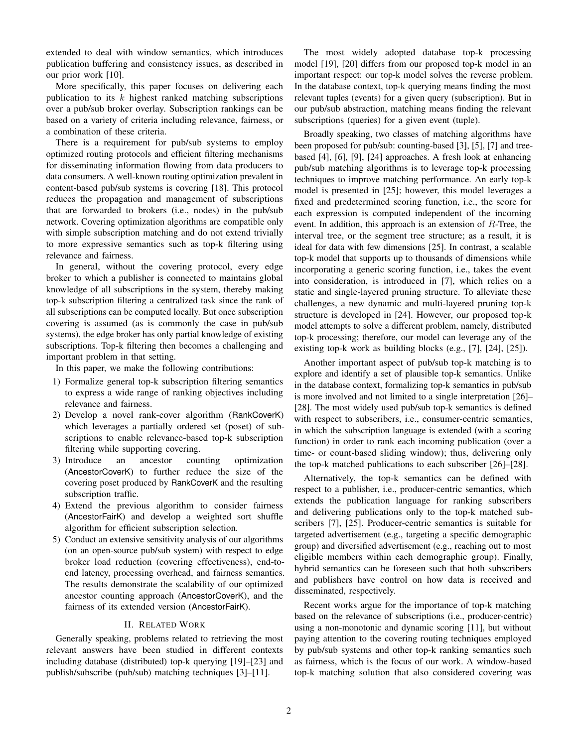extended to deal with window semantics, which introduces publication buffering and consistency issues, as described in our prior work [10].

More specifically, this paper focuses on delivering each publication to its  $k$  highest ranked matching subscriptions over a pub/sub broker overlay. Subscription rankings can be based on a variety of criteria including relevance, fairness, or a combination of these criteria.

There is a requirement for pub/sub systems to employ optimized routing protocols and efficient filtering mechanisms for disseminating information flowing from data producers to data consumers. A well-known routing optimization prevalent in content-based pub/sub systems is covering [18]. This protocol reduces the propagation and management of subscriptions that are forwarded to brokers (i.e., nodes) in the pub/sub network. Covering optimization algorithms are compatible only with simple subscription matching and do not extend trivially to more expressive semantics such as top-k filtering using relevance and fairness.

In general, without the covering protocol, every edge broker to which a publisher is connected to maintains global knowledge of all subscriptions in the system, thereby making top-k subscription filtering a centralized task since the rank of all subscriptions can be computed locally. But once subscription covering is assumed (as is commonly the case in pub/sub systems), the edge broker has only partial knowledge of existing subscriptions. Top-k filtering then becomes a challenging and important problem in that setting.

In this paper, we make the following contributions:

- 1) Formalize general top-k subscription filtering semantics to express a wide range of ranking objectives including relevance and fairness.
- 2) Develop a novel rank-cover algorithm (RankCoverK) which leverages a partially ordered set (poset) of subscriptions to enable relevance-based top-k subscription filtering while supporting covering.
- 3) Introduce an ancestor counting optimization (AncestorCoverK) to further reduce the size of the covering poset produced by RankCoverK and the resulting subscription traffic.
- 4) Extend the previous algorithm to consider fairness (AncestorFairK) and develop a weighted sort shuffle algorithm for efficient subscription selection.
- 5) Conduct an extensive sensitivity analysis of our algorithms (on an open-source pub/sub system) with respect to edge broker load reduction (covering effectiveness), end-toend latency, processing overhead, and fairness semantics. The results demonstrate the scalability of our optimized ancestor counting approach (AncestorCoverK), and the fairness of its extended version (AncestorFairK).

# II. RELATED WORK

Generally speaking, problems related to retrieving the most relevant answers have been studied in different contexts including database (distributed) top-k querying [19]–[23] and publish/subscribe (pub/sub) matching techniques [3]–[11].

The most widely adopted database top-k processing model [19], [20] differs from our proposed top-k model in an important respect: our top-k model solves the reverse problem. In the database context, top-k querying means finding the most relevant tuples (events) for a given query (subscription). But in our pub/sub abstraction, matching means finding the relevant subscriptions (queries) for a given event (tuple).

Broadly speaking, two classes of matching algorithms have been proposed for pub/sub: counting-based [3], [5], [7] and treebased [4], [6], [9], [24] approaches. A fresh look at enhancing pub/sub matching algorithms is to leverage top-k processing techniques to improve matching performance. An early top-k model is presented in [25]; however, this model leverages a fixed and predetermined scoring function, i.e., the score for each expression is computed independent of the incoming event. In addition, this approach is an extension of  $R$ -Tree, the interval tree, or the segment tree structure; as a result, it is ideal for data with few dimensions [25]. In contrast, a scalable top-k model that supports up to thousands of dimensions while incorporating a generic scoring function, i.e., takes the event into consideration, is introduced in [7], which relies on a static and single-layered pruning structure. To alleviate these challenges, a new dynamic and multi-layered pruning top-k structure is developed in [24]. However, our proposed top-k model attempts to solve a different problem, namely, distributed top-k processing; therefore, our model can leverage any of the existing top-k work as building blocks (e.g., [7], [24], [25]).

Another important aspect of pub/sub top-k matching is to explore and identify a set of plausible top-k semantics. Unlike in the database context, formalizing top-k semantics in pub/sub is more involved and not limited to a single interpretation [26]– [28]. The most widely used pub/sub top-k semantics is defined with respect to subscribers, i.e., consumer-centric semantics, in which the subscription language is extended (with a scoring function) in order to rank each incoming publication (over a time- or count-based sliding window); thus, delivering only the top-k matched publications to each subscriber [26]–[28].

Alternatively, the top-k semantics can be defined with respect to a publisher, i.e., producer-centric semantics, which extends the publication language for ranking subscribers and delivering publications only to the top-k matched subscribers [7], [25]. Producer-centric semantics is suitable for targeted advertisement (e.g., targeting a specific demographic group) and diversified advertisement (e.g., reaching out to most eligible members within each demographic group). Finally, hybrid semantics can be foreseen such that both subscribers and publishers have control on how data is received and disseminated, respectively.

Recent works argue for the importance of top-k matching based on the relevance of subscriptions (i.e., producer-centric) using a non-monotonic and dynamic scoring [11], but without paying attention to the covering routing techniques employed by pub/sub systems and other top-k ranking semantics such as fairness, which is the focus of our work. A window-based top-k matching solution that also considered covering was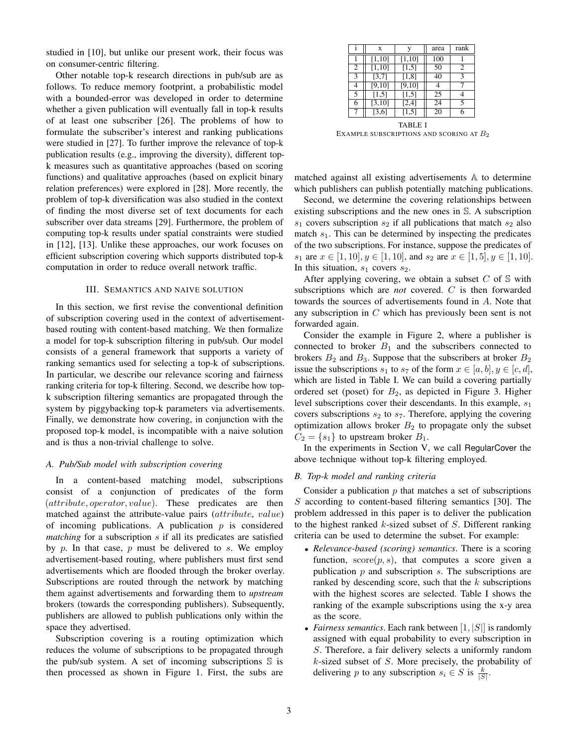studied in [10], but unlike our present work, their focus was on consumer-centric filtering.

Other notable top-k research directions in pub/sub are as follows. To reduce memory footprint, a probabilistic model with a bounded-error was developed in order to determine whether a given publication will eventually fall in top-k results of at least one subscriber [26]. The problems of how to formulate the subscriber's interest and ranking publications were studied in [27]. To further improve the relevance of top-k publication results (e.g., improving the diversity), different topk measures such as quantitative approaches (based on scoring functions) and qualitative approaches (based on explicit binary relation preferences) were explored in [28]. More recently, the problem of top-k diversification was also studied in the context of finding the most diverse set of text documents for each subscriber over data streams [29]. Furthermore, the problem of computing top-k results under spatial constraints were studied in [12], [13]. Unlike these approaches, our work focuses on efficient subscription covering which supports distributed top-k computation in order to reduce overall network traffic.

## III. SEMANTICS AND NAIVE SOLUTION

In this section, we first revise the conventional definition of subscription covering used in the context of advertisementbased routing with content-based matching. We then formalize a model for top-k subscription filtering in pub/sub. Our model consists of a general framework that supports a variety of ranking semantics used for selecting a top-k of subscriptions. In particular, we describe our relevance scoring and fairness ranking criteria for top-k filtering. Second, we describe how topk subscription filtering semantics are propagated through the system by piggybacking top-k parameters via advertisements. Finally, we demonstrate how covering, in conjunction with the proposed top-k model, is incompatible with a naive solution and is thus a non-trivial challenge to solve.

#### *A. Pub/Sub model with subscription covering*

In a content-based matching model, subscriptions consist of a conjunction of predicates of the form (attribute, operator, value). These predicates are then matched against the attribute-value pairs (attribute, value) of incoming publications. A publication  $p$  is considered *matching* for a subscription s if all its predicates are satisfied by p. In that case, p must be delivered to s. We employ advertisement-based routing, where publishers must first send advertisements which are flooded through the broker overlay. Subscriptions are routed through the network by matching them against advertisements and forwarding them to *upstream* brokers (towards the corresponding publishers). Subsequently, publishers are allowed to publish publications only within the space they advertised.

Subscription covering is a routing optimization which reduces the volume of subscriptions to be propagated through the pub/sub system. A set of incoming subscriptions  $\mathbb S$  is then processed as shown in Figure 1. First, the subs are

|                | X                   |         | area | rank |
|----------------|---------------------|---------|------|------|
|                | [1, 10]             | [1, 10] | 100  |      |
| $\overline{2}$ | [1, 10]             | [1,5]   | 50   | 2    |
| 3              | [3,7]               | [1,8]   | 40   | 3    |
| 4              | [9, 10]             | [9, 10] | 4    |      |
| 3              | [1,5]               | [1,5]   | 25   | 4    |
| 6              | $\overline{[3,10]}$ | [2,4]   | 24   | 5    |
| 7              | [3,6]               | [1,5]   | 20   |      |
|                |                     | TABLE I |      |      |

EXAMPLE SUBSCRIPTIONS AND SCORING AT  $B_2$ 

matched against all existing advertisements A to determine which publishers can publish potentially matching publications.

Second, we determine the covering relationships between existing subscriptions and the new ones in S. A subscription  $s_1$  covers subscription  $s_2$  if all publications that match  $s_2$  also match  $s_1$ . This can be determined by inspecting the predicates of the two subscriptions. For instance, suppose the predicates of s<sub>1</sub> are  $x \in [1, 10], y \in [1, 10]$ , and s<sub>2</sub> are  $x \in [1, 5], y \in [1, 10]$ . In this situation,  $s_1$  covers  $s_2$ .

After applying covering, we obtain a subset  $C$  of  $S$  with subscriptions which are *not* covered. C is then forwarded towards the sources of advertisements found in A. Note that any subscription in C which has previously been sent is not forwarded again.

Consider the example in Figure 2, where a publisher is connected to broker  $B_1$  and the subscribers connected to brokers  $B_2$  and  $B_3$ . Suppose that the subscribers at broker  $B_2$ issue the subscriptions  $s_1$  to  $s_7$  of the form  $x \in [a, b], y \in [c, d]$ , which are listed in Table I. We can build a covering partially ordered set (poset) for  $B_2$ , as depicted in Figure 3. Higher level subscriptions cover their descendants. In this example,  $s_1$ covers subscriptions  $s_2$  to  $s_7$ . Therefore, applying the covering optimization allows broker  $B_2$  to propagate only the subset  $C_2 = \{s_1\}$  to upstream broker  $B_1$ .

In the experiments in Section V, we call RegularCover the above technique without top-k filtering employed.

# *B. Top-k model and ranking criteria*

Consider a publication  $p$  that matches a set of subscriptions S according to content-based filtering semantics [30]. The problem addressed in this paper is to deliver the publication to the highest ranked  $k$ -sized subset of  $S$ . Different ranking criteria can be used to determine the subset. For example:

- *Relevance-based (scoring) semantics*. There is a scoring function,  $score(p, s)$ , that computes a score given a publication  $p$  and subscription  $s$ . The subscriptions are ranked by descending score, such that the  $k$  subscriptions with the highest scores are selected. Table I shows the ranking of the example subscriptions using the x-y area as the score.
- *Fairness semantics*. Each rank between [1, |S|] is randomly assigned with equal probability to every subscription in S. Therefore, a fair delivery selects a uniformly random  $k$ -sized subset of  $S$ . More precisely, the probability of delivering p to any subscription  $s_i \in S$  is  $\frac{k}{|S|}$ .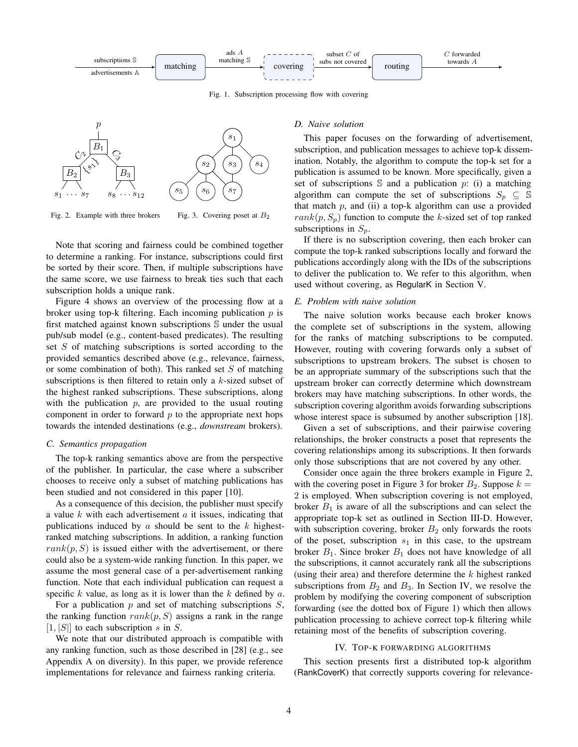

Fig. 1. Subscription processing flow with covering



Fig. 2. Example with three brokers Fig. 3. Covering poset at  $B_2$ 

Note that scoring and fairness could be combined together to determine a ranking. For instance, subscriptions could first be sorted by their score. Then, if multiple subscriptions have the same score, we use fairness to break ties such that each subscription holds a unique rank.

Figure 4 shows an overview of the processing flow at a broker using top-k filtering. Each incoming publication  $p$  is first matched against known subscriptions S under the usual pub/sub model (e.g., content-based predicates). The resulting set  $S$  of matching subscriptions is sorted according to the provided semantics described above (e.g., relevance, fairness, or some combination of both). This ranked set  $S$  of matching subscriptions is then filtered to retain only a k-sized subset of the highest ranked subscriptions. These subscriptions, along with the publication  $p$ , are provided to the usual routing component in order to forward  $p$  to the appropriate next hops towards the intended destinations (e.g., *downstream* brokers).

#### *C. Semantics propagation*

The top-k ranking semantics above are from the perspective of the publisher. In particular, the case where a subscriber chooses to receive only a subset of matching publications has been studied and not considered in this paper [10].

As a consequence of this decision, the publisher must specify a value k with each advertisement  $\alpha$  it issues, indicating that publications induced by  $a$  should be sent to the  $k$  highestranked matching subscriptions. In addition, a ranking function  $rank(p, S)$  is issued either with the advertisement, or there could also be a system-wide ranking function. In this paper, we assume the most general case of a per-advertisement ranking function. Note that each individual publication can request a specific k value, as long as it is lower than the k defined by a.

For a publication  $p$  and set of matching subscriptions  $S$ , the ranking function  $rank(p, S)$  assigns a rank in the range  $[1, |S|]$  to each subscription s in S.

We note that our distributed approach is compatible with any ranking function, such as those described in [28] (e.g., see Appendix A on diversity). In this paper, we provide reference implementations for relevance and fairness ranking criteria.

# *D. Naive solution*

This paper focuses on the forwarding of advertisement, subscription, and publication messages to achieve top-k dissemination. Notably, the algorithm to compute the top-k set for a publication is assumed to be known. More specifically, given a set of subscriptions  $S$  and a publication  $p$ : (i) a matching algorithm can compute the set of subscriptions  $S_p \subseteq \mathbb{S}$ that match  $p$ , and (ii) a top-k algorithm can use a provided  $rank(p, S_p)$  function to compute the k-sized set of top ranked subscriptions in  $S_p$ .

If there is no subscription covering, then each broker can compute the top-k ranked subscriptions locally and forward the publications accordingly along with the IDs of the subscriptions to deliver the publication to. We refer to this algorithm, when used without covering, as RegularK in Section V.

# *E. Problem with naive solution*

The naive solution works because each broker knows the complete set of subscriptions in the system, allowing for the ranks of matching subscriptions to be computed. However, routing with covering forwards only a subset of subscriptions to upstream brokers. The subset is chosen to be an appropriate summary of the subscriptions such that the upstream broker can correctly determine which downstream brokers may have matching subscriptions. In other words, the subscription covering algorithm avoids forwarding subscriptions whose interest space is subsumed by another subscription [18].

Given a set of subscriptions, and their pairwise covering relationships, the broker constructs a poset that represents the covering relationships among its subscriptions. It then forwards only those subscriptions that are not covered by any other.

Consider once again the three brokers example in Figure 2, with the covering poset in Figure 3 for broker  $B_2$ . Suppose  $k =$ 2 is employed. When subscription covering is not employed, broker  $B_1$  is aware of all the subscriptions and can select the appropriate top-k set as outlined in Section III-D. However, with subscription covering, broker  $B_2$  only forwards the roots of the poset, subscription  $s_1$  in this case, to the upstream broker  $B_1$ . Since broker  $B_1$  does not have knowledge of all the subscriptions, it cannot accurately rank all the subscriptions (using their area) and therefore determine the  $k$  highest ranked subscriptions from  $B_2$  and  $B_3$ . In Section IV, we resolve the problem by modifying the covering component of subscription forwarding (see the dotted box of Figure 1) which then allows publication processing to achieve correct top-k filtering while retaining most of the benefits of subscription covering.

# IV. TOP-K FORWARDING ALGORITHMS

This section presents first a distributed top-k algorithm (RankCoverK) that correctly supports covering for relevance-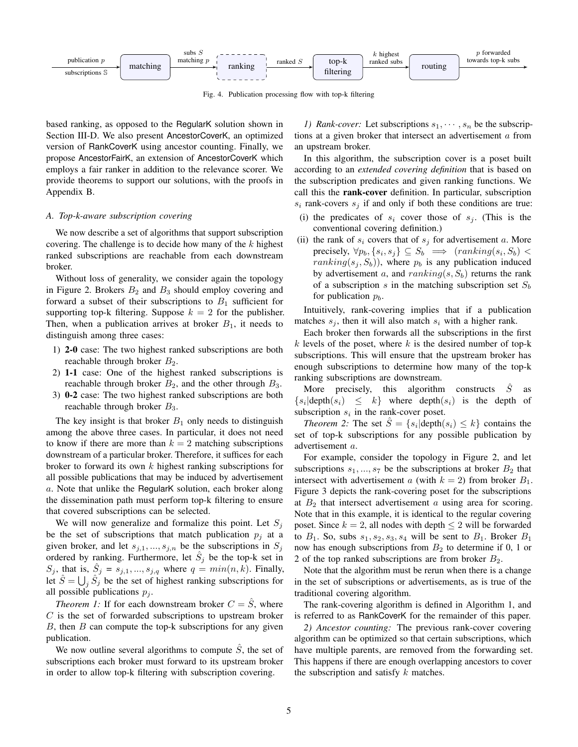

Fig. 4. Publication processing flow with top-k filtering

based ranking, as opposed to the RegularK solution shown in Section III-D. We also present AncestorCoverK, an optimized version of RankCoverK using ancestor counting. Finally, we propose AncestorFairK, an extension of AncestorCoverK which employs a fair ranker in addition to the relevance scorer. We provide theorems to support our solutions, with the proofs in Appendix B.

# *A. Top-k-aware subscription covering*

We now describe a set of algorithms that support subscription covering. The challenge is to decide how many of the  $k$  highest ranked subscriptions are reachable from each downstream broker.

Without loss of generality, we consider again the topology in Figure 2. Brokers  $B_2$  and  $B_3$  should employ covering and forward a subset of their subscriptions to  $B_1$  sufficient for supporting top-k filtering. Suppose  $k = 2$  for the publisher. Then, when a publication arrives at broker  $B_1$ , it needs to distinguish among three cases:

- 1) 2-0 case: The two highest ranked subscriptions are both reachable through broker  $B_2$ .
- 2) 1-1 case: One of the highest ranked subscriptions is reachable through broker  $B_2$ , and the other through  $B_3$ .
- 3) 0-2 case: The two highest ranked subscriptions are both reachable through broker  $B_3$ .

The key insight is that broker  $B_1$  only needs to distinguish among the above three cases. In particular, it does not need to know if there are more than  $k = 2$  matching subscriptions downstream of a particular broker. Therefore, it suffices for each broker to forward its own  $k$  highest ranking subscriptions for all possible publications that may be induced by advertisement a. Note that unlike the RegularK solution, each broker along the dissemination path must perform top-k filtering to ensure that covered subscriptions can be selected.

We will now generalize and formalize this point. Let  $S_j$ be the set of subscriptions that match publication  $p_i$  at a given broker, and let  $s_{j,1},...,s_{j,n}$  be the subscriptions in  $S_j$ ordered by ranking. Furthermore, let  $\hat{S}_j$  be the top-k set in  $S_j$ , that is,  $\hat{S}_j = s_{j,1},...,s_{j,q}$  where  $q = min(n, k)$ . Finally, let  $\hat{S} = \bigcup_j \hat{S}_j$  be the set of highest ranking subscriptions for all possible publications  $p_i$ .

*Theorem 1:* If for each downstream broker  $C = \hat{S}$ , where C is the set of forwarded subscriptions to upstream broker  $B$ , then  $B$  can compute the top-k subscriptions for any given publication.

We now outline several algorithms to compute  $\hat{S}$ , the set of subscriptions each broker must forward to its upstream broker in order to allow top-k filtering with subscription covering.

*1) Rank-cover:* Let subscriptions  $s_1, \dots, s_n$  be the subscriptions at a given broker that intersect an advertisement a from an upstream broker.

In this algorithm, the subscription cover is a poset built according to an *extended covering definition* that is based on the subscription predicates and given ranking functions. We call this the rank-cover definition. In particular, subscription  $s_i$  rank-covers  $s_j$  if and only if both these conditions are true:

- (i) the predicates of  $s_i$  cover those of  $s_j$ . (This is the conventional covering definition.)
- (ii) the rank of  $s_i$  covers that of  $s_j$  for advertisement a. More precisely,  $\forall p_b, \{s_i, s_j\} \subseteq S_b \implies (ranking(s_i, S_b) <$  $ranking(s<sub>j</sub>, S<sub>b</sub>)$ , where  $p<sub>b</sub>$  is any publication induced by advertisement a, and  $ranking(s, S_b)$  returns the rank of a subscription s in the matching subscription set  $S_b$ for publication  $p_b$ .

Intuitively, rank-covering implies that if a publication matches  $s_j$ , then it will also match  $s_i$  with a higher rank.

Each broker then forwards all the subscriptions in the first k levels of the poset, where  $k$  is the desired number of top-k subscriptions. This will ensure that the upstream broker has enough subscriptions to determine how many of the top-k ranking subscriptions are downstream.

More precisely, this algorithm constructs  $\hat{S}$  as  $\{s_i | \text{depth}(s_i) \leq k\}$  where depth $(s_i)$  is the depth of subscription  $s_i$  in the rank-cover poset.

*Theorem 2:* The set  $\hat{S} = \{s_i | \text{depth}(s_i) \leq k\}$  contains the set of top-k subscriptions for any possible publication by advertisement a.

For example, consider the topology in Figure 2, and let subscriptions  $s_1, ..., s_7$  be the subscriptions at broker  $B_2$  that intersect with advertisement a (with  $k = 2$ ) from broker  $B_1$ . Figure 3 depicts the rank-covering poset for the subscriptions at  $B_2$  that intersect advertisement a using area for scoring. Note that in this example, it is identical to the regular covering poset. Since  $k = 2$ , all nodes with depth  $\leq 2$  will be forwarded to  $B_1$ . So, subs  $s_1, s_2, s_3, s_4$  will be sent to  $B_1$ . Broker  $B_1$ now has enough subscriptions from  $B_2$  to determine if 0, 1 or 2 of the top ranked subscriptions are from broker  $B_2$ .

Note that the algorithm must be rerun when there is a change in the set of subscriptions or advertisements, as is true of the traditional covering algorithm.

The rank-covering algorithm is defined in Algorithm 1, and is referred to as RankCoverK for the remainder of this paper.

*2) Ancestor counting:* The previous rank-cover covering algorithm can be optimized so that certain subscriptions, which have multiple parents, are removed from the forwarding set. This happens if there are enough overlapping ancestors to cover the subscription and satisfy  $k$  matches.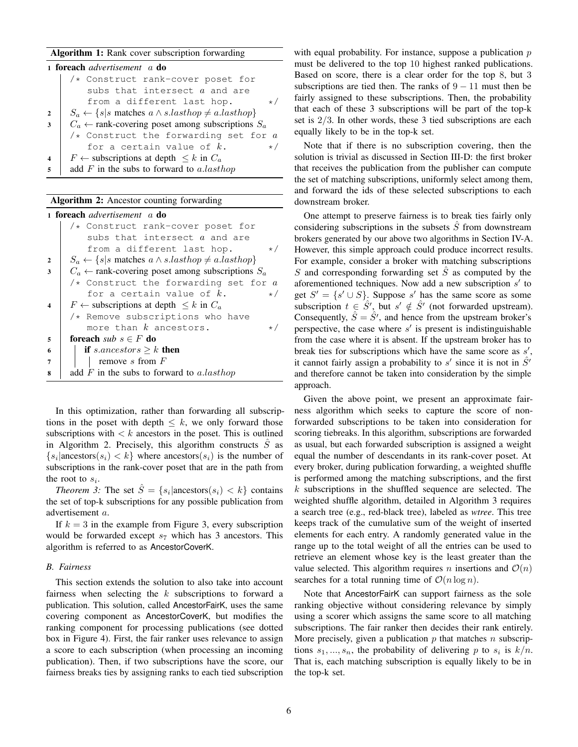# Algorithm 1: Rank cover subscription forwarding

| 1 <b>foreach</b> <i>advertisement</i> a <b>do</b> |                                                                                   |  |  |  |
|---------------------------------------------------|-----------------------------------------------------------------------------------|--|--|--|
|                                                   | /* Construct rank-cover poset for                                                 |  |  |  |
|                                                   | subs that intersect $a$ and are                                                   |  |  |  |
|                                                   | from a different last hop.<br>$\star/$                                            |  |  |  |
| $\overline{2}$                                    | $S_a \leftarrow \{s   s \text{ matches } a \wedge s. last hop \neq a. last hop\}$ |  |  |  |
| 3                                                 | $C_a \leftarrow$ rank-covering poset among subscriptions $S_a$                    |  |  |  |
|                                                   | /* Construct the forwarding set for $a$                                           |  |  |  |
|                                                   | for a certain value of $k$ .<br>$\star/$                                          |  |  |  |
| $\overline{\mathbf{4}}$                           | $F \leftarrow$ subscriptions at depth $\leq k$ in $C_a$                           |  |  |  |
|                                                   | add $F$ in the subs to forward to a.lasthop                                       |  |  |  |

# Algorithm 2: Ancestor counting forwarding

```
1 foreach advertisement a do
     /* Construct rank-cover poset for
         subs that intersect a and are
         from a different last hop. \star/2 \Big| S_a \leftarrow \{s | s \text{ matches } a \wedge s. last hop \neq a. last hop \}3 \mid C_a \leftarrow rank-covering poset among subscriptions S_a/* Construct the forwarding set for afor a certain value of k. \star/4 F \leftarrow subscriptions at depth \leq k in C_a/* Remove subscriptions who have
         more than k ancestors. \star/5 foreach sub s \in F do
6 if s.ancestors \geq k then
7 \mid \cdot \cdot \cdot \mid remove s from F
\mathbf{8} add F in the subs to forward to a.lasthop
```
In this optimization, rather than forwarding all subscriptions in the poset with depth  $\leq k$ , we only forward those subscriptions with  $\lt k$  ancestors in the poset. This is outlined in Algorithm 2. Precisely, this algorithm constructs  $\ddot{S}$  as  $\{s_i | \text{ancestors}(s_i) < k\}$  where ancestors $(s_i)$  is the number of subscriptions in the rank-cover poset that are in the path from the root to  $s_i$ .

*Theorem 3:* The set  $\hat{S} = \{s_i | \text{ancestors}(s_i) < k\}$  contains the set of top-k subscriptions for any possible publication from advertisement a.

If  $k = 3$  in the example from Figure 3, every subscription would be forwarded except  $s<sub>7</sub>$  which has 3 ancestors. This algorithm is referred to as AncestorCoverK.

# *B. Fairness*

This section extends the solution to also take into account fairness when selecting the  $k$  subscriptions to forward a publication. This solution, called AncestorFairK, uses the same covering component as AncestorCoverK, but modifies the ranking component for processing publications (see dotted box in Figure 4). First, the fair ranker uses relevance to assign a score to each subscription (when processing an incoming publication). Then, if two subscriptions have the score, our fairness breaks ties by assigning ranks to each tied subscription

with equal probability. For instance, suppose a publication  $p$ must be delivered to the top 10 highest ranked publications. Based on score, there is a clear order for the top 8, but 3 subscriptions are tied then. The ranks of  $9 - 11$  must then be fairly assigned to these subscriptions. Then, the probability that each of these 3 subscriptions will be part of the top-k set is 2/3. In other words, these 3 tied subscriptions are each equally likely to be in the top-k set.

Note that if there is no subscription covering, then the solution is trivial as discussed in Section III-D: the first broker that receives the publication from the publisher can compute the set of matching subscriptions, uniformly select among them, and forward the ids of these selected subscriptions to each downstream broker.

One attempt to preserve fairness is to break ties fairly only considering subscriptions in the subsets  $\hat{S}$  from downstream brokers generated by our above two algorithms in Section IV-A. However, this simple approach could produce incorrect results. For example, consider a broker with matching subscriptions S and corresponding forwarding set  $\hat{S}$  as computed by the aforementioned techniques. Now add a new subscription  $s'$  to get  $S' = \{s' \cup S\}$ . Suppose s' has the same score as some subscription  $t \in \hat{S}'$ , but  $s' \notin \hat{S}'$  (not forwarded upstream). Consequently,  $\hat{S} = \hat{S}'$ , and hence from the upstream broker's perspective, the case where  $s'$  is present is indistinguishable from the case where it is absent. If the upstream broker has to break ties for subscriptions which have the same score as  $s'$ , it cannot fairly assign a probability to  $s'$  since it is not in  $\hat{S}'$ and therefore cannot be taken into consideration by the simple approach.

Given the above point, we present an approximate fairness algorithm which seeks to capture the score of nonforwarded subscriptions to be taken into consideration for scoring tiebreaks. In this algorithm, subscriptions are forwarded as usual, but each forwarded subscription is assigned a weight equal the number of descendants in its rank-cover poset. At every broker, during publication forwarding, a weighted shuffle is performed among the matching subscriptions, and the first k subscriptions in the shuffled sequence are selected. The weighted shuffle algorithm, detailed in Algorithm 3 requires a search tree (e.g., red-black tree), labeled as *wtree*. This tree keeps track of the cumulative sum of the weight of inserted elements for each entry. A randomly generated value in the range up to the total weight of all the entries can be used to retrieve an element whose key is the least greater than the value selected. This algorithm requires n insertions and  $\mathcal{O}(n)$ searches for a total running time of  $\mathcal{O}(n \log n)$ .

Note that AncestorFairK can support fairness as the sole ranking objective without considering relevance by simply using a scorer which assigns the same score to all matching subscriptions. The fair ranker then decides their rank entirely. More precisely, given a publication  $p$  that matches  $n$  subscriptions  $s_1, ..., s_n$ , the probability of delivering p to  $s_i$  is  $k/n$ . That is, each matching subscription is equally likely to be in the top-k set.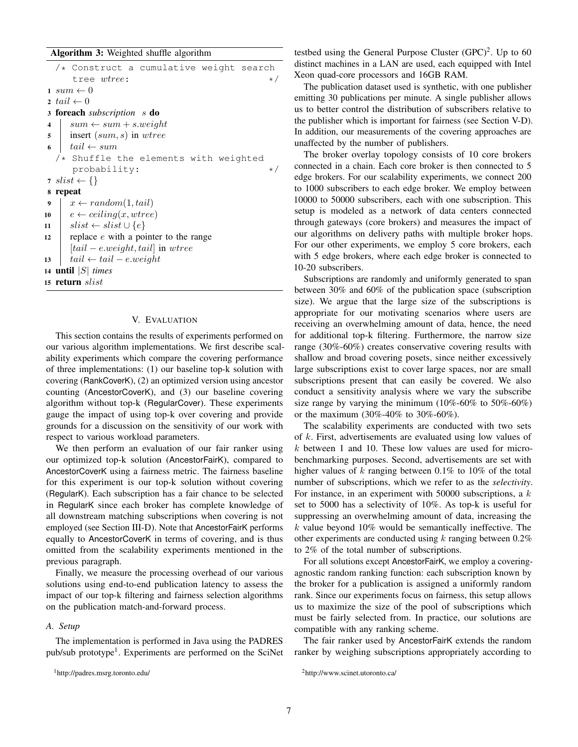# Algorithm 3: Weighted shuffle algorithm

```
Construct a cumulative weight search
      tree wtree: \star/1 sum \leftarrow 02 tail \leftarrow 03 foreach subscription s do
4 \mid sum \leftarrow sum + s.weight\mathfrak{s} | insert (sum, s) in wtree
6 tail \leftarrow sum/* Shuffle the elements with weighted
      probability: \star/7 slist \leftarrow \{\}8 repeat
9 x \leftarrow random(1, tail)10 e \leftarrow ceiling(x, writee)11 \vert slist \leftarrow slist \cup {e}
12 | replace e with a pointer to the range
      [tail - e.weight, tail] in wtree
13 \mid tail ← tail – e.weight
14 until |S| times
15 return slist
```
# V. EVALUATION

This section contains the results of experiments performed on our various algorithm implementations. We first describe scalability experiments which compare the covering performance of three implementations: (1) our baseline top-k solution with covering (RankCoverK), (2) an optimized version using ancestor counting (AncestorCoverK), and (3) our baseline covering algorithm without top-k (RegularCover). These experiments gauge the impact of using top-k over covering and provide grounds for a discussion on the sensitivity of our work with respect to various workload parameters.

We then perform an evaluation of our fair ranker using our optimized top-k solution (AncestorFairK), compared to AncestorCoverK using a fairness metric. The fairness baseline for this experiment is our top-k solution without covering (RegularK). Each subscription has a fair chance to be selected in RegularK since each broker has complete knowledge of all downstream matching subscriptions when covering is not employed (see Section III-D). Note that AncestorFairK performs equally to AncestorCoverK in terms of covering, and is thus omitted from the scalability experiments mentioned in the previous paragraph.

Finally, we measure the processing overhead of our various solutions using end-to-end publication latency to assess the impact of our top-k filtering and fairness selection algorithms on the publication match-and-forward process.

### *A. Setup*

The implementation is performed in Java using the PADRES pub/sub prototype<sup>1</sup>. Experiments are performed on the SciNet

testbed using the General Purpose Cluster  $(GPC)^2$ . Up to 60 distinct machines in a LAN are used, each equipped with Intel Xeon quad-core processors and 16GB RAM.

The publication dataset used is synthetic, with one publisher emitting 30 publications per minute. A single publisher allows us to better control the distribution of subscribers relative to the publisher which is important for fairness (see Section V-D). In addition, our measurements of the covering approaches are unaffected by the number of publishers.

The broker overlay topology consists of 10 core brokers connected in a chain. Each core broker is then connected to 5 edge brokers. For our scalability experiments, we connect 200 to 1000 subscribers to each edge broker. We employ between 10000 to 50000 subscribers, each with one subscription. This setup is modeled as a network of data centers connected through gateways (core brokers) and measures the impact of our algorithms on delivery paths with multiple broker hops. For our other experiments, we employ 5 core brokers, each with 5 edge brokers, where each edge broker is connected to 10-20 subscribers.

Subscriptions are randomly and uniformly generated to span between 30% and 60% of the publication space (subscription size). We argue that the large size of the subscriptions is appropriate for our motivating scenarios where users are receiving an overwhelming amount of data, hence, the need for additional top-k filtering. Furthermore, the narrow size range (30%-60%) creates conservative covering results with shallow and broad covering posets, since neither excessively large subscriptions exist to cover large spaces, nor are small subscriptions present that can easily be covered. We also conduct a sensitivity analysis where we vary the subscribe size range by varying the minimum (10%-60% to 50%-60%) or the maximum (30%-40% to 30%-60%).

The scalability experiments are conducted with two sets of k. First, advertisements are evaluated using low values of k between 1 and 10. These low values are used for microbenchmarking purposes. Second, advertisements are set with higher values of  $k$  ranging between 0.1% to 10% of the total number of subscriptions, which we refer to as the *selectivity*. For instance, in an experiment with  $50000$  subscriptions, a  $k$ set to 5000 has a selectivity of 10%. As top-k is useful for suppressing an overwhelming amount of data, increasing the  $k$  value beyond 10% would be semantically ineffective. The other experiments are conducted using  $k$  ranging between 0.2% to 2% of the total number of subscriptions.

For all solutions except AncestorFairK, we employ a coveringagnostic random ranking function: each subscription known by the broker for a publication is assigned a uniformly random rank. Since our experiments focus on fairness, this setup allows us to maximize the size of the pool of subscriptions which must be fairly selected from. In practice, our solutions are compatible with any ranking scheme.

The fair ranker used by AncestorFairK extends the random ranker by weighing subscriptions appropriately according to

<sup>1</sup>http://padres.msrg.toronto.edu/

<sup>2</sup>http://www.scinet.utoronto.ca/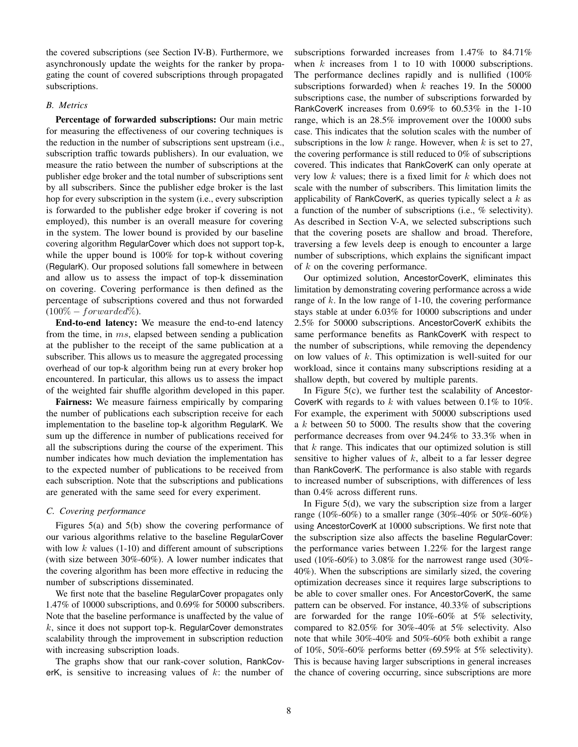the covered subscriptions (see Section IV-B). Furthermore, we asynchronously update the weights for the ranker by propagating the count of covered subscriptions through propagated subscriptions.

## *B. Metrics*

Percentage of forwarded subscriptions: Our main metric for measuring the effectiveness of our covering techniques is the reduction in the number of subscriptions sent upstream (i.e., subscription traffic towards publishers). In our evaluation, we measure the ratio between the number of subscriptions at the publisher edge broker and the total number of subscriptions sent by all subscribers. Since the publisher edge broker is the last hop for every subscription in the system (i.e., every subscription is forwarded to the publisher edge broker if covering is not employed), this number is an overall measure for covering in the system. The lower bound is provided by our baseline covering algorithm RegularCover which does not support top-k, while the upper bound is 100% for top-k without covering (RegularK). Our proposed solutions fall somewhere in between and allow us to assess the impact of top-k dissemination on covering. Covering performance is then defined as the percentage of subscriptions covered and thus not forwarded  $(100\% - forwarded\%).$ 

End-to-end latency: We measure the end-to-end latency from the time, in ms, elapsed between sending a publication at the publisher to the receipt of the same publication at a subscriber. This allows us to measure the aggregated processing overhead of our top-k algorithm being run at every broker hop encountered. In particular, this allows us to assess the impact of the weighted fair shuffle algorithm developed in this paper.

**Fairness:** We measure fairness empirically by comparing the number of publications each subscription receive for each implementation to the baseline top-k algorithm RegularK. We sum up the difference in number of publications received for all the subscriptions during the course of the experiment. This number indicates how much deviation the implementation has to the expected number of publications to be received from each subscription. Note that the subscriptions and publications are generated with the same seed for every experiment.

# *C. Covering performance*

Figures 5(a) and 5(b) show the covering performance of our various algorithms relative to the baseline RegularCover with low  $k$  values (1-10) and different amount of subscriptions (with size between 30%-60%). A lower number indicates that the covering algorithm has been more effective in reducing the number of subscriptions disseminated.

We first note that the baseline RegularCover propagates only 1.47% of 10000 subscriptions, and 0.69% for 50000 subscribers. Note that the baseline performance is unaffected by the value of  $k$ , since it does not support top-k. RegularCover demonstrates scalability through the improvement in subscription reduction with increasing subscription loads.

The graphs show that our rank-cover solution, RankCoverK, is sensitive to increasing values of  $k$ : the number of

subscriptions forwarded increases from 1.47% to 84.71% when  $k$  increases from 1 to 10 with 10000 subscriptions. The performance declines rapidly and is nullified (100% subscriptions forwarded) when  $k$  reaches 19. In the 50000 subscriptions case, the number of subscriptions forwarded by RankCoverK increases from 0.69% to 60.53% in the 1-10 range, which is an 28.5% improvement over the 10000 subs case. This indicates that the solution scales with the number of subscriptions in the low  $k$  range. However, when  $k$  is set to 27, the covering performance is still reduced to 0% of subscriptions covered. This indicates that RankCoverK can only operate at very low  $k$  values; there is a fixed limit for  $k$  which does not scale with the number of subscribers. This limitation limits the applicability of RankCoverK, as queries typically select a  $k$  as a function of the number of subscriptions (i.e., % selectivity). As described in Section V-A, we selected subscriptions such that the covering posets are shallow and broad. Therefore, traversing a few levels deep is enough to encounter a large number of subscriptions, which explains the significant impact of k on the covering performance.

Our optimized solution, AncestorCoverK, eliminates this limitation by demonstrating covering performance across a wide range of  $k$ . In the low range of 1-10, the covering performance stays stable at under 6.03% for 10000 subscriptions and under 2.5% for 50000 subscriptions. AncestorCoverK exhibits the same performance benefits as RankCoverK with respect to the number of subscriptions, while removing the dependency on low values of k. This optimization is well-suited for our workload, since it contains many subscriptions residing at a shallow depth, but covered by multiple parents.

In Figure 5(c), we further test the scalability of Ancestor-CoverK with regards to k with values between 0.1% to 10%. For example, the experiment with 50000 subscriptions used a  $k$  between 50 to 5000. The results show that the covering performance decreases from over 94.24% to 33.3% when in that  $k$  range. This indicates that our optimized solution is still sensitive to higher values of  $k$ , albeit to a far lesser degree than RankCoverK. The performance is also stable with regards to increased number of subscriptions, with differences of less than 0.4% across different runs.

In Figure  $5(d)$ , we vary the subscription size from a larger range (10%-60%) to a smaller range (30%-40% or 50%-60%) using AncestorCoverK at 10000 subscriptions. We first note that the subscription size also affects the baseline RegularCover: the performance varies between 1.22% for the largest range used (10%-60%) to 3.08% for the narrowest range used (30%- 40%). When the subscriptions are similarly sized, the covering optimization decreases since it requires large subscriptions to be able to cover smaller ones. For AncestorCoverK, the same pattern can be observed. For instance, 40.33% of subscriptions are forwarded for the range 10%-60% at 5% selectivity, compared to 82.05% for 30%-40% at 5% selectivity. Also note that while 30%-40% and 50%-60% both exhibit a range of 10%, 50%-60% performs better (69.59% at 5% selectivity). This is because having larger subscriptions in general increases the chance of covering occurring, since subscriptions are more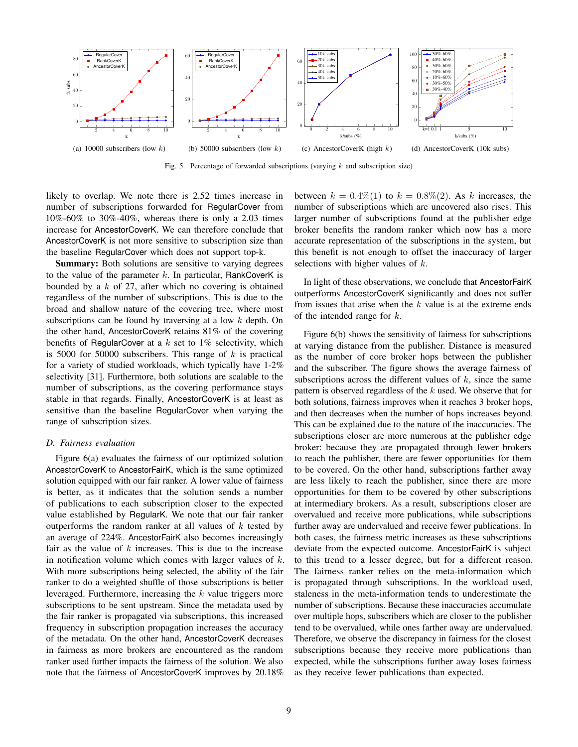

Fig. 5. Percentage of forwarded subscriptions (varying  $k$  and subscription size)

likely to overlap. We note there is 2.52 times increase in number of subscriptions forwarded for RegularCover from 10%-60% to 30%-40%, whereas there is only a 2.03 times increase for AncestorCoverK. We can therefore conclude that AncestorCoverK is not more sensitive to subscription size than the baseline RegularCover which does not support top-k.

**Summary:** Both solutions are sensitive to varying degrees to the value of the parameter  $k$ . In particular, RankCoverK is bounded by a  $k$  of 27, after which no covering is obtained regardless of the number of subscriptions. This is due to the broad and shallow nature of the covering tree, where most subscriptions can be found by traversing at a low  $k$  depth. On the other hand, AncestorCoverK retains 81% of the covering benefits of RegularCover at a  $k$  set to 1% selectivity, which is 5000 for 50000 subscribers. This range of  $k$  is practical for a variety of studied workloads, which typically have 1-2% selectivity [31]. Furthermore, both solutions are scalable to the number of subscriptions, as the covering performance stays stable in that regards. Finally, AncestorCoverK is at least as sensitive than the baseline RegularCover when varying the range of subscription sizes.

#### *D. Fairness evaluation*

Figure 6(a) evaluates the fairness of our optimized solution AncestorCoverK to AncestorFairK, which is the same optimized solution equipped with our fair ranker. A lower value of fairness is better, as it indicates that the solution sends a number of publications to each subscription closer to the expected value established by RegularK. We note that our fair ranker outperforms the random ranker at all values of  $k$  tested by an average of 224%. AncestorFairK also becomes increasingly fair as the value of  $k$  increases. This is due to the increase in notification volume which comes with larger values of  $k$ . With more subscriptions being selected, the ability of the fair ranker to do a weighted shuffle of those subscriptions is better leveraged. Furthermore, increasing the k value triggers more subscriptions to be sent upstream. Since the metadata used by the fair ranker is propagated via subscriptions, this increased frequency in subscription propagation increases the accuracy of the metadata. On the other hand, AncestorCoverK decreases in fairness as more brokers are encountered as the random ranker used further impacts the fairness of the solution. We also note that the fairness of AncestorCoverK improves by 20.18%

between  $k = 0.4\%(1)$  to  $k = 0.8\%(2)$ . As k increases, the number of subscriptions which are uncovered also rises. This larger number of subscriptions found at the publisher edge broker benefits the random ranker which now has a more accurate representation of the subscriptions in the system, but this benefit is not enough to offset the inaccuracy of larger selections with higher values of  $k$ .

In light of these observations, we conclude that AncestorFairK outperforms AncestorCoverK significantly and does not suffer from issues that arise when the  $k$  value is at the extreme ends of the intended range for k.

Figure 6(b) shows the sensitivity of fairness for subscriptions at varying distance from the publisher. Distance is measured as the number of core broker hops between the publisher and the subscriber. The figure shows the average fairness of subscriptions across the different values of  $k$ , since the same pattern is observed regardless of the k used. We observe that for both solutions, fairness improves when it reaches 3 broker hops, and then decreases when the number of hops increases beyond. This can be explained due to the nature of the inaccuracies. The subscriptions closer are more numerous at the publisher edge broker: because they are propagated through fewer brokers to reach the publisher, there are fewer opportunities for them to be covered. On the other hand, subscriptions farther away are less likely to reach the publisher, since there are more opportunities for them to be covered by other subscriptions at intermediary brokers. As a result, subscriptions closer are overvalued and receive more publications, while subscriptions further away are undervalued and receive fewer publications. In both cases, the fairness metric increases as these subscriptions deviate from the expected outcome. AncestorFairK is subject to this trend to a lesser degree, but for a different reason. The fairness ranker relies on the meta-information which is propagated through subscriptions. In the workload used, staleness in the meta-information tends to underestimate the number of subscriptions. Because these inaccuracies accumulate over multiple hops, subscribers which are closer to the publisher tend to be overvalued, while ones farther away are undervalued. Therefore, we observe the discrepancy in fairness for the closest subscriptions because they receive more publications than expected, while the subscriptions further away loses fairness as they receive fewer publications than expected.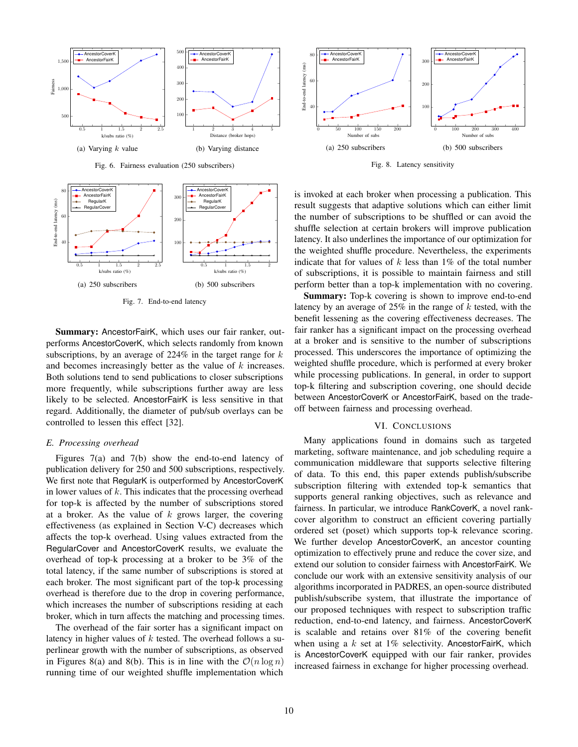

Fig. 6. Fairness evaluation (250 subscribers)



Fig. 7. End-to-end latency

Summary: AncestorFairK, which uses our fair ranker, outperforms AncestorCoverK, which selects randomly from known subscriptions, by an average of  $224\%$  in the target range for k and becomes increasingly better as the value of k increases. Both solutions tend to send publications to closer subscriptions more frequently, while subscriptions further away are less likely to be selected. AncestorFairK is less sensitive in that regard. Additionally, the diameter of pub/sub overlays can be controlled to lessen this effect [32].

#### *E. Processing overhead*

Figures 7(a) and 7(b) show the end-to-end latency of publication delivery for 250 and 500 subscriptions, respectively. We first note that RegularK is outperformed by AncestorCoverK in lower values of  $k$ . This indicates that the processing overhead for top-k is affected by the number of subscriptions stored at a broker. As the value of  $k$  grows larger, the covering effectiveness (as explained in Section V-C) decreases which affects the top-k overhead. Using values extracted from the RegularCover and AncestorCoverK results, we evaluate the overhead of top-k processing at a broker to be 3% of the total latency, if the same number of subscriptions is stored at each broker. The most significant part of the top-k processing overhead is therefore due to the drop in covering performance, which increases the number of subscriptions residing at each broker, which in turn affects the matching and processing times.

The overhead of the fair sorter has a significant impact on latency in higher values of  $k$  tested. The overhead follows a superlinear growth with the number of subscriptions, as observed in Figures 8(a) and 8(b). This is in line with the  $\mathcal{O}(n \log n)$ running time of our weighted shuffle implementation which



Fig. 8. Latency sensitivity

is invoked at each broker when processing a publication. This result suggests that adaptive solutions which can either limit the number of subscriptions to be shuffled or can avoid the shuffle selection at certain brokers will improve publication latency. It also underlines the importance of our optimization for the weighted shuffle procedure. Nevertheless, the experiments indicate that for values of  $k$  less than 1% of the total number of subscriptions, it is possible to maintain fairness and still perform better than a top-k implementation with no covering.

Summary: Top-k covering is shown to improve end-to-end latency by an average of  $25\%$  in the range of k tested, with the benefit lessening as the covering effectiveness decreases. The fair ranker has a significant impact on the processing overhead at a broker and is sensitive to the number of subscriptions processed. This underscores the importance of optimizing the weighted shuffle procedure, which is performed at every broker while processing publications. In general, in order to support top-k filtering and subscription covering, one should decide between AncestorCoverK or AncestorFairK, based on the tradeoff between fairness and processing overhead.

# VI. CONCLUSIONS

Many applications found in domains such as targeted marketing, software maintenance, and job scheduling require a communication middleware that supports selective filtering of data. To this end, this paper extends publish/subscribe subscription filtering with extended top-k semantics that supports general ranking objectives, such as relevance and fairness. In particular, we introduce RankCoverK, a novel rankcover algorithm to construct an efficient covering partially ordered set (poset) which supports top-k relevance scoring. We further develop AncestorCoverK, an ancestor counting optimization to effectively prune and reduce the cover size, and extend our solution to consider fairness with AncestorFairK. We conclude our work with an extensive sensitivity analysis of our algorithms incorporated in PADRES, an open-source distributed publish/subscribe system, that illustrate the importance of our proposed techniques with respect to subscription traffic reduction, end-to-end latency, and fairness. AncestorCoverK is scalable and retains over 81% of the covering benefit when using a  $k$  set at 1% selectivity. AncestorFairK, which is AncestorCoverK equipped with our fair ranker, provides increased fairness in exchange for higher processing overhead.